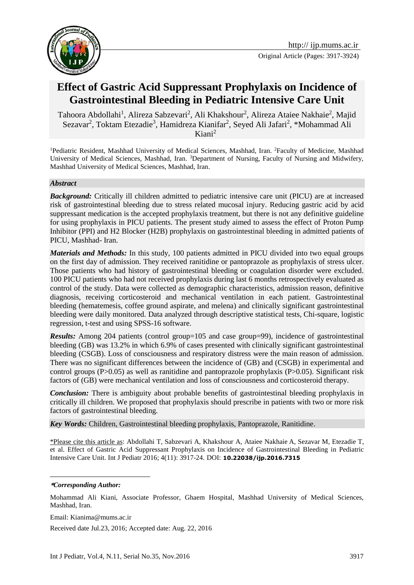

# **Effect of Gastric Acid Suppressant Prophylaxis on Incidence of Gastrointestinal Bleeding in Pediatric Intensive Care Unit**

Tahoora Abdollahi<sup>1</sup>, Alireza Sabzevari<sup>2</sup>, Ali Khakshour<sup>2</sup>, Alireza Ataiee Nakhaie<sup>2</sup>, Majid Sezavar<sup>2</sup>, Toktam Etezadie<sup>3</sup>, Hamidreza Kianifar<sup>2</sup>, Seyed Ali Jafari<sup>2</sup>, \*Mohammad Ali  $Kiani<sup>2</sup>$ 

<sup>1</sup>Pediatric Resident, Mashhad University of Medical Sciences, Mashhad, Iran. <sup>2</sup>Faculty of Medicine, Mashhad University of Medical Sciences, Mashhad, Iran. <sup>3</sup>Department of Nursing, Faculty of Nursing and Midwifery, Mashhad University of Medical Sciences, Mashhad, Iran.

#### *Abstract*

*Background:* Critically ill children admitted to pediatric intensive care unit (PICU) are at increased risk of gastrointestinal bleeding due to stress related mucosal injury. Reducing gastric acid by acid suppressant medication is the accepted prophylaxis treatment, but there is not any definitive guideline for using prophylaxis in PICU patients. The present study aimed to assess the effect of Proton Pump Inhibitor (PPI) and H2 Blocker (H2B) prophylaxis on gastrointestinal bleeding in admitted patients of PICU, Mashhad- Iran.

*Materials and Methods:* In this study, 100 patients admitted in PICU divided into two equal groups on the first day of admission. They received ranitidine or pantoprazole as prophylaxis of stress ulcer. Those patients who had history of gastrointestinal bleeding or coagulation disorder were excluded. 100 PICU patients who had not received prophylaxis during last 6 months retrospectively evaluated as control of the study. Data were collected as demographic characteristics, admission reason, definitive diagnosis, receiving corticosteroid and mechanical ventilation in each patient. Gastrointestinal bleeding (hematemesis, coffee ground aspirate, and melena) and clinically significant gastrointestinal bleeding were daily monitored. Data analyzed through descriptive statistical tests, Chi-square, logistic regression, t-test and using SPSS-16 software.

*Results:* Among 204 patients (control group=105 and case group=99), incidence of gastrointestinal bleeding (GB) was 13.2% in which 6.9% of cases presented with clinically significant gastrointestinal bleeding (CSGB). Loss of consciousness and respiratory distress were the main reason of admission. There was no significant differences between the incidence of (GB) and (CSGB) in experimental and control groups (P>0.05) as well as ranitidine and pantoprazole prophylaxis (P>0.05). Significant risk factors of (GB) were mechanical ventilation and loss of consciousness and corticosteroid therapy.

*Conclusion:* There is ambiguity about probable benefits of gastrointestinal bleeding prophylaxis in critically ill children. We proposed that prophylaxis should prescribe in patients with two or more risk factors of gastrointestinal bleeding.

*Key Words:* Children, Gastrointestinal bleeding prophylaxis, Pantoprazole, Ranitidine.

\*Please cite this article as: Abdollahi T, Sabzevari A, Khakshour A, Ataiee Nakhaie A, Sezavar M, Etezadie T, et al. Effect of Gastric Acid Suppressant Prophylaxis on Incidence of Gastrointestinal Bleeding in Pediatric Intensive Care Unit. Int J Pediatr 2016; 4(11): 3917-24. DOI: **10.22038/ijp.2016.7315**

#### **\****Corresponding Author:*

1

Mohammad Ali Kiani, Associate Professor, Ghaem Hospital, Mashhad University of Medical Sciences, Mashhad, Iran.

Email: Kianima@mums.ac.ir

Received date Jul.23, 2016; Accepted date: Aug. 22, 2016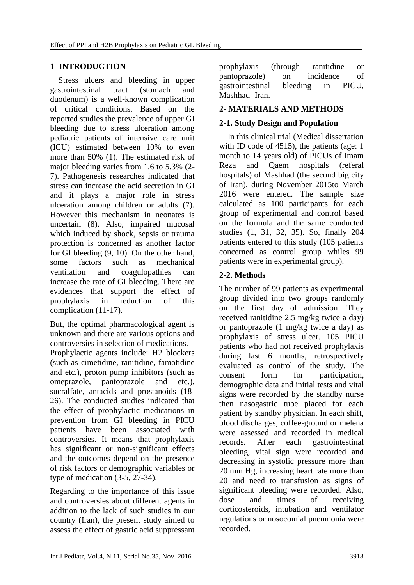# **1- INTRODUCTION**

 Stress ulcers and bleeding in upper gastrointestinal tract (stomach and duodenum) is a well-known complication of critical conditions. Based on the reported studies the prevalence of upper GI bleeding due to stress ulceration among pediatric patients of intensive care unit (ICU) estimated between 10% to even more than 50% (1). The estimated risk of major bleeding varies from 1.6 to 5.3% (2- 7). Pathogenesis researches indicated that stress can increase the acid secretion in GI and it plays a major role in stress ulceration among children or adults (7). However this mechanism in neonates is uncertain (8). Also, impaired mucosal which induced by shock, sepsis or trauma protection is concerned as another factor for GI bleeding (9, 10). On the other hand, some factors such as mechanical ventilation and coagulopathies can increase the rate of GI bleeding. There are evidences that support the effect of prophylaxis in reduction of this complication (11-17).

But, the optimal pharmacological agent is unknown and there are various options and controversies in selection of medications.

Prophylactic agents include: H2 blockers (such as cimetidine, ranitidine, famotidine and etc.), proton pump inhibitors (such as omeprazole, pantoprazole and etc.), sucralfate, antacids and prostanoids (18- 26). The conducted studies indicated that the effect of prophylactic medications in prevention from GI bleeding in PICU patients have been associated with controversies. It means that prophylaxis has significant or non-significant effects and the outcomes depend on the presence of risk factors or demographic variables or type of medication (3-5, 27-34).

Regarding to the importance of this issue and controversies about different agents in addition to the lack of such studies in our country (Iran), the present study aimed to assess the effect of gastric acid suppressant prophylaxis (through ranitidine or pantoprazole) on incidence of gastrointestinal bleeding in PICU, Mashhad- Iran.

# **2- MATERIALS AND METHODS**

# **2-1. Study Design and Population**

 In this clinical trial (Medical dissertation with ID code of 4515), the patients (age: 1) month to 14 years old) of PICUs of Imam Reza and Qaem hospitals (referal hospitals) of Mashhad (the second big city of Iran), during November 2015to March 2016 were entered. The sample size calculated as 100 participants for each group of experimental and control based on the formula and the same conducted studies (1, 31, 32, 35). So, finally 204 patients entered to this study (105 patients concerned as control group whiles 99 patients were in experimental group).

# **2-2. Methods**

The number of 99 patients as experimental group divided into two groups randomly on the first day of admission. They received ranitidine 2.5 mg/kg twice a day) or pantoprazole (1 mg/kg twice a day) as prophylaxis of stress ulcer. 105 PICU patients who had not received prophylaxis during last 6 months, retrospectively evaluated as control of the study. The consent form for participation, demographic data and initial tests and vital signs were recorded by the standby nurse then nasogastric tube placed for each patient by standby physician. In each shift, blood discharges, coffee-ground or melena were assessed and recorded in medical records. After each gastrointestinal bleeding, vital sign were recorded and decreasing in systolic pressure more than 20 mm Hg, increasing heart rate more than 20 and need to transfusion as signs of significant bleeding were recorded. Also, dose and times of receiving corticosteroids, intubation and ventilator regulations or nosocomial pneumonia were recorded.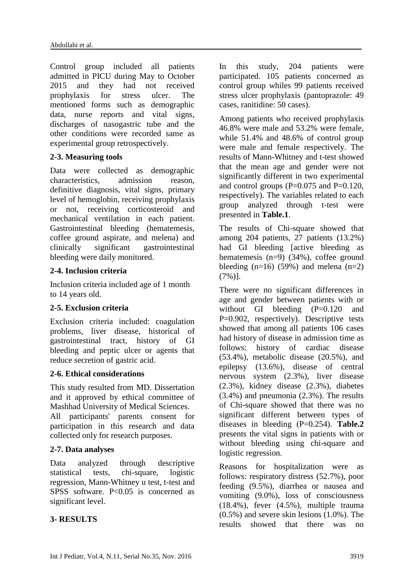Control group included all patients admitted in PICU during May to October 2015 and they had not received prophylaxis for stress ulcer. The mentioned forms such as demographic data, nurse reports and vital signs, discharges of nasogastric tube and the other conditions were recorded same as experimental group retrospectively.

### **2-3. Measuring tools**

Data were collected as demographic characteristics, admission reason, definitive diagnosis, vital signs, primary level of hemoglobin, receiving prophylaxis or not, receiving corticosteroid and mechanical ventilation in each patient. Gastrointestinal bleeding (hematemesis, coffee ground aspirate, and melena) and clinically significant gastrointestinal bleeding were daily monitored.

### **2-4. Inclusion criteria**

Inclusion criteria included age of 1 month to 14 years old.

### **2-5. Exclusion criteria**

Exclusion criteria included: coagulation problems, liver disease, historical of gastrointestinal tract, history of GI bleeding and peptic ulcer or agents that reduce secretion of gastric acid.

### **2-6. Ethical considerations**

This study resulted from MD. Dissertation and it approved by ethical committee of Mashhad University of Medical Sciences.

All participants' parents consent for participation in this research and data collected only for research purposes.

# **2-7. Data analyses**

Data analyzed through descriptive statistical tests, chi-square, logistic regression, Mann-Whitney u test, t-test and SPSS software. P<0.05 is concerned as significant level.

# **3- RESULTS**

In this study, 204 patients were participated. 105 patients concerned as control group whiles 99 patients received stress ulcer prophylaxis (pantoprazole: 49 cases, ranitidine: 50 cases).

Among patients who received prophylaxis 46.8% were male and 53.2% were female, while 51.4% and 48.6% of control group were male and female respectively. The results of Mann-Whitney and t-test showed that the mean age and gender were not significantly different in two experimental and control groups  $(P=0.075$  and  $P=0.120$ , respectively). The variables related to each group analyzed through t-test were presented in **Table.1**.

The results of Chi-square showed that among 204 patients, 27 patients (13.2%) had GI bleeding *s* active bleeding as hematemesis  $(n=9)$  (34%), coffee ground bleeding  $(n=16)$  (59%) and melena  $(n=2)$ (7%)].

There were no significant differences in age and gender between patients with or without GI bleeding (P=0.120 and P=0.902, respectively). Descriptive tests showed that among all patients 106 cases had history of disease in admission time as follows: history of cardiac disease (53.4%), metabolic disease (20.5%), and epilepsy (13.6%), disease of central nervous system (2.3%), liver disease (2.3%), kidney disease (2.3%), diabetes (3.4%) and pneumonia (2.3%). The results of Chi-square showed that there was no significant different between types of diseases in bleeding (P=0.254). **Table.2** presents the vital signs in patients with or without bleeding using chi-square and logistic regression.

Reasons for hospitalization were as follows: respiratory distress (52.7%), poor feeding (9.5%), diarrhea or nausea and vomiting (9.0%), loss of consciousness (18.4%), fever (4.5%), multiple trauma (0.5%) and severe skin lesions (1.0%). The results showed that there was no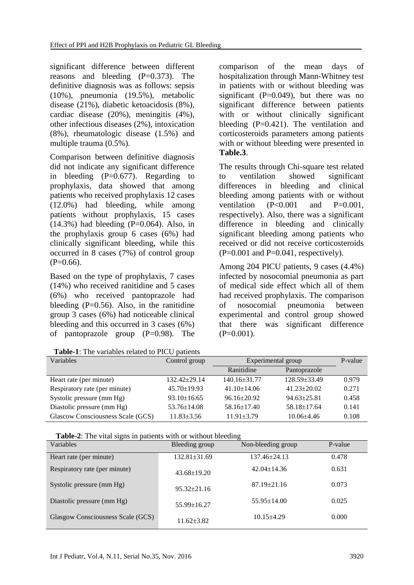significant difference between different reasons and bleeding  $(P=0.373)$ . The definitive diagnosis was as follows: sepsis (10%), pneumonia (19.5%), metabolic disease (21%), diabetic ketoacidosis (8%), cardiac disease (20%), meningitis (4%), other infectious diseases (2%), intoxication (8%), rheumatologic disease (1.5%) and multiple trauma (0.5%).

Comparison between definitive diagnosis did not indicate any significant difference in bleeding  $(P=0.677)$ . Regarding to prophylaxis, data showed that among patients who received prophylaxis 12 cases (12.0%) had bleeding, while among patients without prophylaxis, 15 cases  $(14.3\%)$  had bleeding  $(P=0.064)$ . Also, in the prophylaxis group 6 cases (6%) had clinically significant bleeding, while this occurred in 8 cases (7%) of control group  $(P=0.66)$ .

Based on the type of prophylaxis, 7 cases (14%) who received ranitidine and 5 cases (6%) who received pantoprazole had bleeding  $(P=0.56)$ . Also, in the ranitidine group 3 cases (6%) had noticeable clinical bleeding and this occurred in 3 cases (6%) of pantoprazole group (P=0.98). The

 **Table-1**: The variables related to PICU patients

comparison of the mean days of hospitalization through Mann-Whitney test in patients with or without bleeding was significant ( $P=0.049$ ), but there was no significant difference between patients with or without clinically significant bleeding  $(P=0.421)$ . The ventilation and corticosteroids parameters among patients with or without bleeding were presented in **Table.3**.

The results through Chi-square test related to ventilation showed significant differences in bleeding and clinical bleeding among patients with or without ventilation  $(P<0.001$  and  $P=0.001$ . respectively). Also, there was a significant difference in bleeding and clinically significant bleeding among patients who received or did not receive corticosteroids  $(P=0.001$  and  $P=0.041$ , respectively).

Among 204 PICU patients, 9 cases (4.4%) infected by nosocomial pneumonia as part of medical side effect which all of them had received prophylaxis. The comparison of nosocomial pneumonia between experimental and control group showed that there was significant difference  $(P=0.001)$ .

| <b>THUIC 1.</b> THE VALIABLES IVIALED TO I TOO BALLEMS |                    |                    |                   |         |  |  |  |
|--------------------------------------------------------|--------------------|--------------------|-------------------|---------|--|--|--|
| Variables                                              | Control group      | Experimental group |                   | P-value |  |  |  |
|                                                        |                    | Ranitidine         | Pantoprazole      |         |  |  |  |
| Heart rate (per minute)                                | $132.42 \pm 29.14$ | $140.16 \pm 31.77$ | $128.59 + 33.49$  | 0.979   |  |  |  |
| Respiratory rate (per minute)                          | $45.70 \pm 19.93$  | $41.10 \pm 14.06$  | $41.23 \pm 20.02$ | 0.271   |  |  |  |
| Systolic pressure (mm Hg)                              | $93.10 \pm 16.65$  | $96.16 \pm 20.92$  | $94.63 \pm 25.81$ | 0.458   |  |  |  |
| Diastolic pressure (mm Hg)                             | $53.76 \pm 14.08$  | $58.16 \pm 17.40$  | $58.18 \pm 17.64$ | 0.141   |  |  |  |
| Glascow Consciousness Scale (GCS)                      | $11.83 \pm 3.56$   | $11.91 \pm 3.79$   | $10.06 + 4.46$    | 0.108   |  |  |  |

**Table-2**: The vital signs in patients with or without bleeding

| 0---<br>Variables                 | Bleeding group     | --0<br>Non-bleeding group | P-value |
|-----------------------------------|--------------------|---------------------------|---------|
| Heart rate (per minute)           | $132.81 \pm 31.69$ | $137.46 \pm 24.13$        | 0.478   |
| Respiratory rate (per minute)     | $43.68 \pm 19.20$  | $42.04 \pm 14.36$         | 0.631   |
| Systolic pressure (mm Hg)         | $95.32 \pm 21.16$  | $87.19 \pm 21.16$         | 0.073   |
| Diastolic pressure (mm Hg)        | $55.99 \pm 16.27$  | $55.95 \pm 14.00$         | 0.025   |
| Glasgow Consciousness Scale (GCS) | $11.62 + 3.82$     | $10.15 \pm 4.29$          | 0.000   |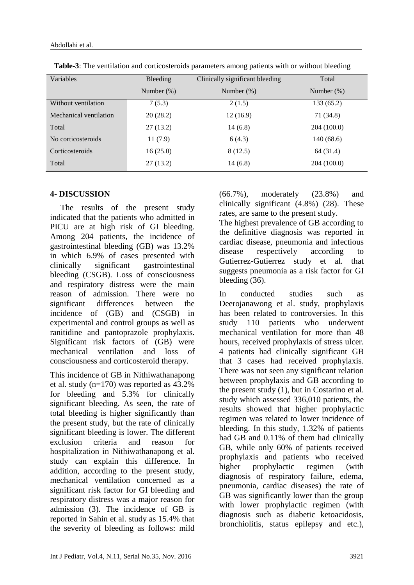| Variables              | Bleeding      | Clinically significant bleeding | Total         |
|------------------------|---------------|---------------------------------|---------------|
|                        | Number $(\%)$ | Number $(\%)$                   | Number $(\%)$ |
| Without ventilation    | 7(5.3)        | 2(1.5)                          | 133 (65.2)    |
| Mechanical ventilation | 20(28.2)      | 12(16.9)                        | 71 (34.8)     |
| Total                  | 27(13.2)      | 14(6.8)                         | 204 (100.0)   |
| No corticosteroids     | 11(7.9)       | 6(4.3)                          | 140(68.6)     |
| Corticosteroids        | 16(25.0)      | 8(12.5)                         | 64 (31.4)     |
| Total                  | 27(13.2)      | 14(6.8)                         | 204 (100.0)   |

 **Table-3**: The ventilation and corticosteroids parameters among patients with or without bleeding

## **4- DISCUSSION**

 The results of the present study indicated that the patients who admitted in PICU are at high risk of GI bleeding. Among 204 patients, the incidence of gastrointestinal bleeding (GB) was 13.2% in which 6.9% of cases presented with clinically significant gastrointestinal bleeding (CSGB). Loss of consciousness and respiratory distress were the main reason of admission. There were no significant differences between the incidence of (GB) and (CSGB) in experimental and control groups as well as ranitidine and pantoprazole prophylaxis. Significant risk factors of (GB) were mechanical ventilation and loss of consciousness and corticosteroid therapy.

This incidence of GB in Nithiwathanapong et al. study (n=170) was reported as 43.2% for bleeding and 5.3% for clinically significant bleeding. As seen, the rate of total bleeding is higher significantly than the present study, but the rate of clinically significant bleeding is lower. The different exclusion criteria and reason for hospitalization in Nithiwathanapong et al. study can explain this difference. In addition, according to the present study, mechanical ventilation concerned as a significant risk factor for GI bleeding and respiratory distress was a major reason for admission (3). The incidence of GB is reported in Sahin et al. study as 15.4% that the severity of bleeding as follows: mild

(66.7%), moderately (23.8%) and clinically significant (4.8%) (28). These rates, are same to the present study.

The highest prevalence of GB according to the definitive diagnosis was reported in cardiac disease, pneumonia and infectious disease respectively according to Gutierrez-Gutierrez study et al. that suggests pneumonia as a risk factor for GI bleeding (36).

In conducted studies such as Deerojanawong et al. study, prophylaxis has been related to controversies. In this study 110 patients who underwent mechanical ventilation for more than 48 hours, received prophylaxis of stress ulcer. 4 patients had clinically significant GB that 3 cases had received prophylaxis. There was not seen any significant relation between prophylaxis and GB according to the present study (1), but in Costarino et al. study which assessed 336,010 patients, the results showed that higher prophylactic regimen was related to lower incidence of bleeding. In this study, 1.32% of patients had GB and 0.11% of them had clinically GB, while only 60% of patients received prophylaxis and patients who received higher prophylactic regimen (with diagnosis of respiratory failure, edema, pneumonia, cardiac diseases) the rate of GB was significantly lower than the group with lower prophylactic regimen (with diagnosis such as diabetic ketoacidosis, bronchiolitis, status epilepsy and etc.),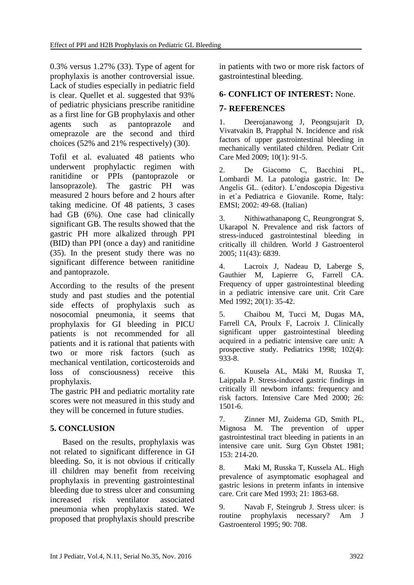0.3% versus 1.27% (33). Type of agent for prophylaxis is another controversial issue. Lack of studies especially in pediatric field is clear. Quellet et al. suggested that 93% of pediatric physicians prescribe ranitidine as a first line for GB prophylaxis and other agents such as pantoprazole and omeprazole are the second and third choices (52% and 21% respectively) (30).

Tofil et al. evaluated 48 patients who underwent prophylactic regimen with ranitidine or PPIs (pantoprazole or lansoprazole). The gastric PH was measured 2 hours before and 2 hours after taking medicine. Of 48 patients, 3 cases had GB (6%). One case had clinically significant GB. The results showed that the gastric PH more alkalized through PPI (BID) than PPI (once a day) and ranitidine (35). In the present study there was no significant difference between ranitidine and pantoprazole.

According to the results of the present study and past studies and the potential side effects of prophylaxis such as nosocomial pneumonia, it seems that prophylaxis for GI bleeding in PICU patients is not recommended for all patients and it is rational that patients with two or more risk factors (such as mechanical ventilation, corticosteroids and loss of consciousness) receive this prophylaxis.

The gastric PH and pediatric mortality rate scores were not measured in this study and they will be concerned in future studies.

# **5. CONCLUSION**

 Based on the results, prophylaxis was not related to significant difference in GI bleeding. So, it is not obvious if critically ill children may benefit from receiving prophylaxis in preventing gastrointestinal bleeding due to stress ulcer and consuming increased risk ventilator associated pneumonia when prophylaxis stated. We proposed that prophylaxis should prescribe in patients with two or more risk factors of gastrointestinal bleeding.

### **6- CONFLICT OF INTEREST:** None.

### **7- REFERENCES**

1. Deerojanawong J, Peongsujarit D, Vivatvakin B, Prapphal N. Incidence and risk factors of upper gastrointestinal bleeding in mechanically ventilated children. Pediatr Crit Care Med 2009; 10(1): 91-5.

2. De Giacomo C, Bacchini PL, Lombardi M. La patologia gastric. In: De Angelis GL. (editor). L'endoscopia Digestiva in et`a Pediatrica e Giovanile. Rome, Italy: EMSI; 2002: 49-68. (Italian)

3. Nithiwathanapong C, Reungrongrat S, Ukarapol N. Prevalence and risk factors of stress-induced gastrointestinal bleeding in critically ill children. World J Gastroenterol 2005; 11(43): 6839.

4. Lacroix J, Nadeau D, Laberge S, Gauthier M, Lapierre G, Farrell CA. Frequency of upper gastrointestinal bleeding in a pediatric intensive care unit. Crit Care Med 1992: 20(1): 35-42.

5. Chaibou M, Tucci M, Dugas MA, Farrell CA, Proulx F, Lacroix J. Clinically significant upper gastrointestinal bleeding acquired in a pediatric intensive care unit: A prospective study. Pediatrics 1998; 102(4): 933-8.

6. Kuusela AL, Mäki M, Ruuska T, Laippala P. Stress-induced gastric findings in critically ill newborn infants: frequency and risk factors. Intensive Care Med 2000; 26: 1501-6.

7. Zinner MJ, Zuidema GD, Smith PL, Mignosa M. The prevention of upper gastrointestinal tract bleeding in patients in an intensive care unit. Surg Gyn Obstet 1981; 153: 214-20.

8. Maki M, Russka T, Kussela AL. High prevalence of asymptomatic esophageal and gastric lesions in preterm infants in intensive care. Crit care Med 1993; 21: 1863-68.

9. [Navab F, Steingrub J. Stress ulcer: is](http://www.uptodate.com/contents/stress-ulcer-prophylaxis-in-the-intensive-care-unit/abstract/12)  [routine prophylaxis necessary? Am J](http://www.uptodate.com/contents/stress-ulcer-prophylaxis-in-the-intensive-care-unit/abstract/12)  [Gastroenterol 1995; 90: 708.](http://www.uptodate.com/contents/stress-ulcer-prophylaxis-in-the-intensive-care-unit/abstract/12)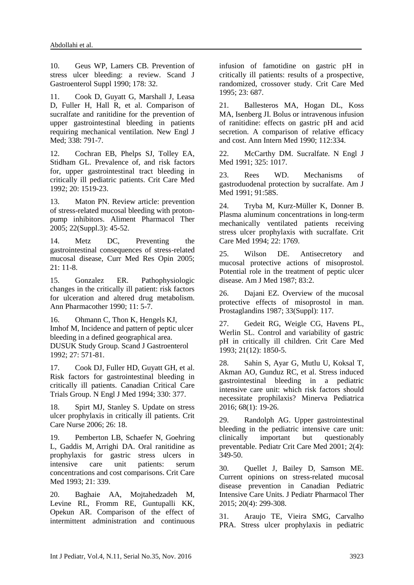10. [Geus WP, Lamers CB. Prevention of](http://www.uptodate.com/contents/stress-ulcer-prophylaxis-in-the-intensive-care-unit/abstract/13)  [stress ulcer bleeding: a review. Scand J](http://www.uptodate.com/contents/stress-ulcer-prophylaxis-in-the-intensive-care-unit/abstract/13)  [Gastroenterol Suppl 1990; 178: 32.](http://www.uptodate.com/contents/stress-ulcer-prophylaxis-in-the-intensive-care-unit/abstract/13)

11. Cook D, Guyatt G, Marshall J, Leasa D, Fuller H, Hall R, et al. Comparison of sucralfate and ranitidine for the prevention of upper gastrointestinal bleeding in patients requiring mechanical ventilation. New Engl J Med; 338: 791-7.

12. Cochran EB, Phelps SJ, Tolley EA, Stidham GL. Prevalence of, and risk factors for, upper gastrointestinal tract bleeding in critically ill pediatric patients. Crit Care Med 1992; 20: 1519-23.

13. Maton PN. Review article: prevention of stress-related mucosal bleeding with protonpump inhibitors. Aliment Pharmacol Ther 2005; 22(Suppl.3): 45-52.

14. Metz DC, Preventing the gastrointestinal consequences of stress-related mucosal disease, Curr Med Res Opin 2005; 21: 11-8.

15. Gonzalez ER. Pathophysiologic changes in the critically ill patient: risk factors for ulceration and altered drug metabolism. Ann Pharmacother 1990; 11: 5-7.

16. Ohmann C, Thon K, Hengels KJ, Imhof M, Incidence and pattern of peptic ulcer bleeding in a defined geographical area. DUSUK Study Group. Scand J Gastroenterol 1992; 27: 571-81.

17. [Cook DJ, Fuller HD, Guyatt GH, et al.](http://www.uptodate.com/contents/stress-ulcer-prophylaxis-in-the-intensive-care-unit/abstract/2)  [Risk factors for gastrointestinal bleeding in](http://www.uptodate.com/contents/stress-ulcer-prophylaxis-in-the-intensive-care-unit/abstract/2)  [critically ill patients. Canadian Critical Care](http://www.uptodate.com/contents/stress-ulcer-prophylaxis-in-the-intensive-care-unit/abstract/2)  [Trials Group. N Engl J Med 1994; 330: 377.](http://www.uptodate.com/contents/stress-ulcer-prophylaxis-in-the-intensive-care-unit/abstract/2)

18. [Spirt MJ, Stanley S. Update on stress](http://www.uptodate.com/contents/stress-ulcer-prophylaxis-in-the-intensive-care-unit/abstract/24)  [ulcer prophylaxis in critically ill patients. Crit](http://www.uptodate.com/contents/stress-ulcer-prophylaxis-in-the-intensive-care-unit/abstract/24)  [Care Nurse 2006; 26: 18.](http://www.uptodate.com/contents/stress-ulcer-prophylaxis-in-the-intensive-care-unit/abstract/24)

19. [Pemberton LB, Schaefer N, Goehring](http://www.uptodate.com/contents/stress-ulcer-prophylaxis-in-the-intensive-care-unit/abstract/35)  L, [Gaddis M,](http://www.ncbi.nlm.nih.gov/pubmed/?term=Gaddis%20M%5BAuthor%5D&cauthor=true&cauthor_uid=8440101) [Arrighi DA. Oral ranitidine as](http://www.uptodate.com/contents/stress-ulcer-prophylaxis-in-the-intensive-care-unit/abstract/35)  [prophylaxis for gastric stress ulcers in](http://www.uptodate.com/contents/stress-ulcer-prophylaxis-in-the-intensive-care-unit/abstract/35)  [intensive care unit patients: serum](http://www.uptodate.com/contents/stress-ulcer-prophylaxis-in-the-intensive-care-unit/abstract/35)  [concentrations and cost comparisons. Crit Care](http://www.uptodate.com/contents/stress-ulcer-prophylaxis-in-the-intensive-care-unit/abstract/35)  [Med 1993; 21: 339.](http://www.uptodate.com/contents/stress-ulcer-prophylaxis-in-the-intensive-care-unit/abstract/35)

20. [Baghaie AA, Mojtahedzadeh M,](http://www.uptodate.com/contents/stress-ulcer-prophylaxis-in-the-intensive-care-unit/abstract/36)  [Levine RL, Fromm RE, Guntupalli KK,](http://www.uptodate.com/contents/stress-ulcer-prophylaxis-in-the-intensive-care-unit/abstract/36)  [Opekun AR. Comparison of the effect of](http://www.uptodate.com/contents/stress-ulcer-prophylaxis-in-the-intensive-care-unit/abstract/36)  [intermittent administration and continuous](http://www.uptodate.com/contents/stress-ulcer-prophylaxis-in-the-intensive-care-unit/abstract/36)  [infusion of famotidine on gastric pH in](http://www.uptodate.com/contents/stress-ulcer-prophylaxis-in-the-intensive-care-unit/abstract/36)  [critically ill patients: results of a prospective,](http://www.uptodate.com/contents/stress-ulcer-prophylaxis-in-the-intensive-care-unit/abstract/36)  [randomized, crossover study. Crit Care Med](http://www.uptodate.com/contents/stress-ulcer-prophylaxis-in-the-intensive-care-unit/abstract/36)  [1995; 23: 687.](http://www.uptodate.com/contents/stress-ulcer-prophylaxis-in-the-intensive-care-unit/abstract/36)

21. [Ballesteros MA, Hogan DL, Koss](http://www.uptodate.com/contents/stress-ulcer-prophylaxis-in-the-intensive-care-unit/abstract/37)  [MA, Isenberg JI. Bolus or intravenous infusion](http://www.uptodate.com/contents/stress-ulcer-prophylaxis-in-the-intensive-care-unit/abstract/37)  [of ranitidine: effects on gastric pH and acid](http://www.uptodate.com/contents/stress-ulcer-prophylaxis-in-the-intensive-care-unit/abstract/37)  [secretion. A comparison of relative efficacy](http://www.uptodate.com/contents/stress-ulcer-prophylaxis-in-the-intensive-care-unit/abstract/37)  [and cost. Ann Intern Med 1990; 112:334.](http://www.uptodate.com/contents/stress-ulcer-prophylaxis-in-the-intensive-care-unit/abstract/37)

22. [McCarthy DM. Sucralfate. N Engl J](http://www.uptodate.com/contents/stress-ulcer-prophylaxis-in-the-intensive-care-unit/abstract/38)  [Med 1991; 325: 1017.](http://www.uptodate.com/contents/stress-ulcer-prophylaxis-in-the-intensive-care-unit/abstract/38)

23. [Rees WD. Mechanisms of](http://www.uptodate.com/contents/stress-ulcer-prophylaxis-in-the-intensive-care-unit/abstract/39)  [gastroduodenal protection by sucralfate. Am J](http://www.uptodate.com/contents/stress-ulcer-prophylaxis-in-the-intensive-care-unit/abstract/39)  [Med 1991; 91:58S.](http://www.uptodate.com/contents/stress-ulcer-prophylaxis-in-the-intensive-care-unit/abstract/39)

24. [Tryba M, Kurz-Müller K, Donner B.](http://www.uptodate.com/contents/stress-ulcer-prophylaxis-in-the-intensive-care-unit/abstract/40)  [Plasma aluminum concentrations in long-term](http://www.uptodate.com/contents/stress-ulcer-prophylaxis-in-the-intensive-care-unit/abstract/40)  [mechanically ventilated patients receiving](http://www.uptodate.com/contents/stress-ulcer-prophylaxis-in-the-intensive-care-unit/abstract/40)  [stress ulcer prophylaxis with sucralfate. Crit](http://www.uptodate.com/contents/stress-ulcer-prophylaxis-in-the-intensive-care-unit/abstract/40)  [Care Med 1994; 22: 1769.](http://www.uptodate.com/contents/stress-ulcer-prophylaxis-in-the-intensive-care-unit/abstract/40)

25. [Wilson DE. Antisecretory and](http://www.uptodate.com/contents/stress-ulcer-prophylaxis-in-the-intensive-care-unit/abstract/41)  [mucosal protective actions of misoprostol.](http://www.uptodate.com/contents/stress-ulcer-prophylaxis-in-the-intensive-care-unit/abstract/41)  [Potential role in the treatment of peptic ulcer](http://www.uptodate.com/contents/stress-ulcer-prophylaxis-in-the-intensive-care-unit/abstract/41)  [disease. Am J Med 1987; 83:2.](http://www.uptodate.com/contents/stress-ulcer-prophylaxis-in-the-intensive-care-unit/abstract/41)

26. Dajani EZ. [Overview of the mucosal](http://www.uptodate.com/contents/stress-ulcer-prophylaxis-in-the-intensive-care-unit/abstract/42)  [protective effects of misoprostol in man.](http://www.uptodate.com/contents/stress-ulcer-prophylaxis-in-the-intensive-care-unit/abstract/42)  [Prostaglandins 1987; 33\(Suppl\): 117.](http://www.uptodate.com/contents/stress-ulcer-prophylaxis-in-the-intensive-care-unit/abstract/42)

27. Gedeit RG, Weigle CG, Havens PL, Werlin SL. Control and variability of gastric pH in critically ill children. Crit Care Med 1993; 21(12): 1850-5.

28. Sahin S, Ayar G, Mutlu U, Koksal T, Akman AO, Gunduz RC, et al. Stress induced gastrointestinal bleeding in a pediatric intensive care unit: which risk factors should necessitate prophilaxis? Minerva Pediatrica 2016; 68(1): 19-26.

29. Randolph AG. Upper gastrointestinal bleeding in the pediatric intensive care unit: clinically important but questionably preventable. Pediatr Crit Care Med 2001; 2(4): 349-50.

30. Quellet J, Bailey D, Samson ME. Current opinions on stress-related mucosal disease prevention in Canadian Pediatric Intensive Care Units. J Pediatr Pharmacol Ther 2015; 20(4): 299-308.

31. Araujo TE, Vieira SMG, Carvalho PRA. Stress ulcer prophylaxis in pediatric